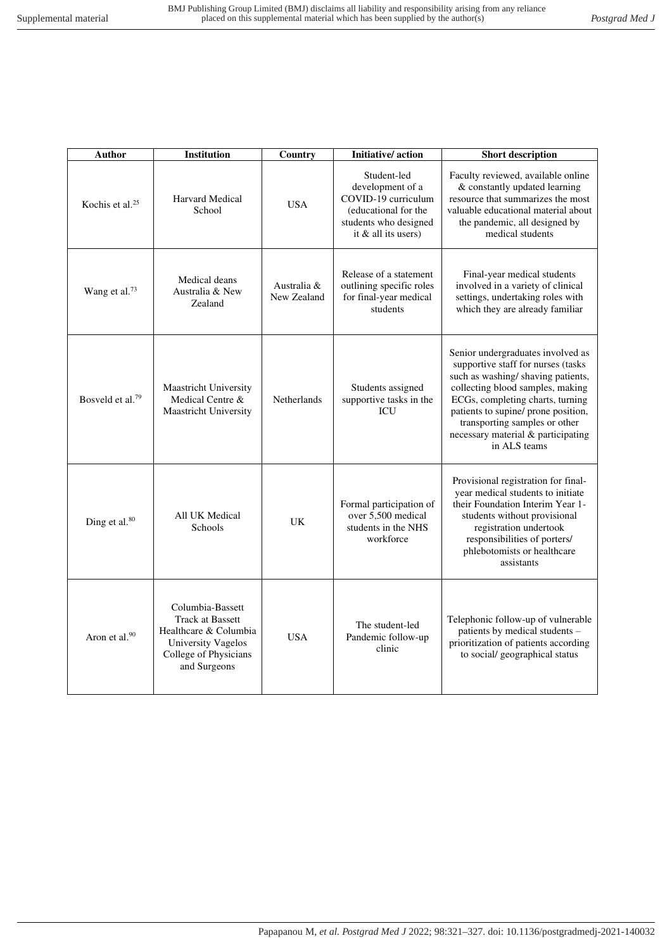| Author                       | Institution                                                                                                                                | Country                    | Initiative/action                                                                                                              | <b>Short description</b>                                                                                                                                                                                                                                                                                           |
|------------------------------|--------------------------------------------------------------------------------------------------------------------------------------------|----------------------------|--------------------------------------------------------------------------------------------------------------------------------|--------------------------------------------------------------------------------------------------------------------------------------------------------------------------------------------------------------------------------------------------------------------------------------------------------------------|
| Kochis et al. <sup>25</sup>  | <b>Harvard Medical</b><br>School                                                                                                           | <b>USA</b>                 | Student-led<br>development of a<br>COVID-19 curriculum<br>(educational for the<br>students who designed<br>it & all its users) | Faculty reviewed, available online<br>& constantly updated learning<br>resource that summarizes the most<br>valuable educational material about<br>the pandemic, all designed by<br>medical students                                                                                                               |
| Wang et al. <sup>73</sup>    | Medical deans<br>Australia & New<br>Zealand                                                                                                | Australia &<br>New Zealand | Release of a statement<br>outlining specific roles<br>for final-year medical<br>students                                       | Final-year medical students<br>involved in a variety of clinical<br>settings, undertaking roles with<br>which they are already familiar                                                                                                                                                                            |
| Bosveld et al. <sup>79</sup> | <b>Maastricht University</b><br>Medical Centre &<br><b>Maastricht University</b>                                                           | Netherlands                | Students assigned<br>supportive tasks in the<br><b>ICU</b>                                                                     | Senior undergraduates involved as<br>supportive staff for nurses (tasks<br>such as washing/shaving patients,<br>collecting blood samples, making<br>ECGs, completing charts, turning<br>patients to supine/ prone position,<br>transporting samples or other<br>necessary material & participating<br>in ALS teams |
| Ding et al. <sup>80</sup>    | All UK Medical<br>Schools                                                                                                                  | <b>UK</b>                  | Formal participation of<br>over 5,500 medical<br>students in the NHS<br>workforce                                              | Provisional registration for final-<br>year medical students to initiate<br>their Foundation Interim Year 1-<br>students without provisional<br>registration undertook<br>responsibilities of porters/<br>phlebotomists or healthcare<br>assistants                                                                |
| Aron et al.90                | Columbia-Bassett<br><b>Track at Bassett</b><br>Healthcare & Columbia<br><b>University Vagelos</b><br>College of Physicians<br>and Surgeons | <b>USA</b>                 | The student-led<br>Pandemic follow-up<br>clinic                                                                                | Telephonic follow-up of vulnerable<br>patients by medical students -<br>prioritization of patients according<br>to social/ geographical status                                                                                                                                                                     |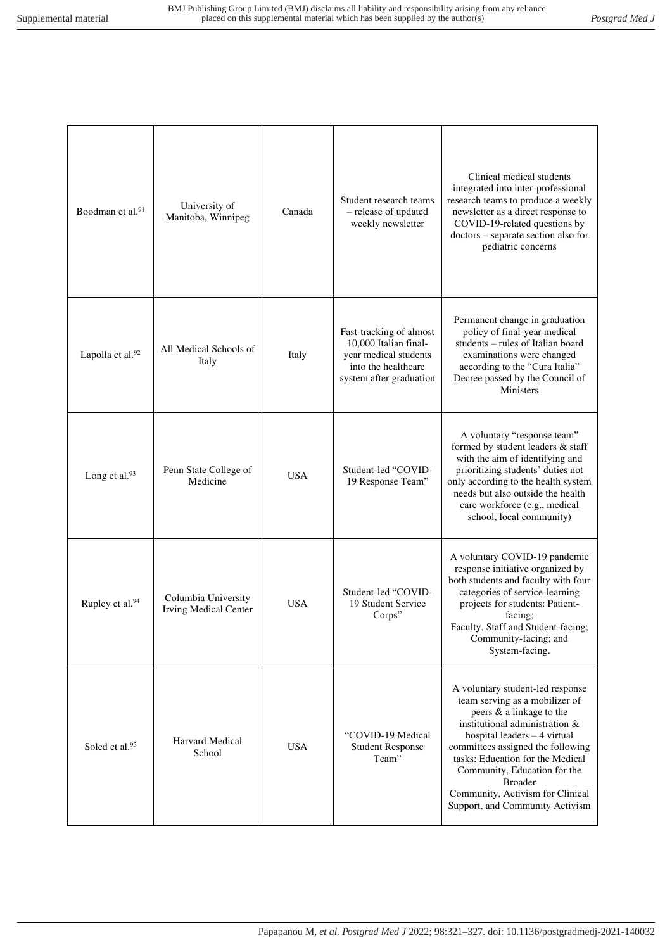| Boodman et al. <sup>91</sup> | University of<br>Manitoba, Winnipeg                 | Canada     | Student research teams<br>- release of updated<br>weekly newsletter                                                         | Clinical medical students<br>integrated into inter-professional<br>research teams to produce a weekly<br>newsletter as a direct response to<br>COVID-19-related questions by<br>doctors - separate section also for<br>pediatric concerns                                                                                                                           |
|------------------------------|-----------------------------------------------------|------------|-----------------------------------------------------------------------------------------------------------------------------|---------------------------------------------------------------------------------------------------------------------------------------------------------------------------------------------------------------------------------------------------------------------------------------------------------------------------------------------------------------------|
| Lapolla et al.92             | All Medical Schools of<br>Italy                     | Italy      | Fast-tracking of almost<br>10,000 Italian final-<br>year medical students<br>into the healthcare<br>system after graduation | Permanent change in graduation<br>policy of final-year medical<br>students - rules of Italian board<br>examinations were changed<br>according to the "Cura Italia"<br>Decree passed by the Council of<br><b>Ministers</b>                                                                                                                                           |
| Long et al. <sup>93</sup>    | Penn State College of<br>Medicine                   | <b>USA</b> | Student-led "COVID-<br>19 Response Team"                                                                                    | A voluntary "response team"<br>formed by student leaders & staff<br>with the aim of identifying and<br>prioritizing students' duties not<br>only according to the health system<br>needs but also outside the health<br>care workforce (e.g., medical<br>school, local community)                                                                                   |
| Rupley et al. <sup>94</sup>  | Columbia University<br><b>Irving Medical Center</b> | <b>USA</b> | Student-led "COVID-<br>19 Student Service<br>Corps"                                                                         | A voluntary COVID-19 pandemic<br>response initiative organized by<br>both students and faculty with four<br>categories of service-learning<br>projects for students: Patient-<br>facing;<br>Faculty, Staff and Student-facing;<br>Community-facing; and<br>System-facing.                                                                                           |
| Soled et al. <sup>95</sup>   | Harvard Medical<br>School                           | <b>USA</b> | "COVID-19 Medical<br><b>Student Response</b><br>Team"                                                                       | A voluntary student-led response<br>team serving as a mobilizer of<br>peers & a linkage to the<br>institutional administration &<br>hospital leaders $-4$ virtual<br>committees assigned the following<br>tasks: Education for the Medical<br>Community, Education for the<br><b>Broader</b><br>Community, Activism for Clinical<br>Support, and Community Activism |